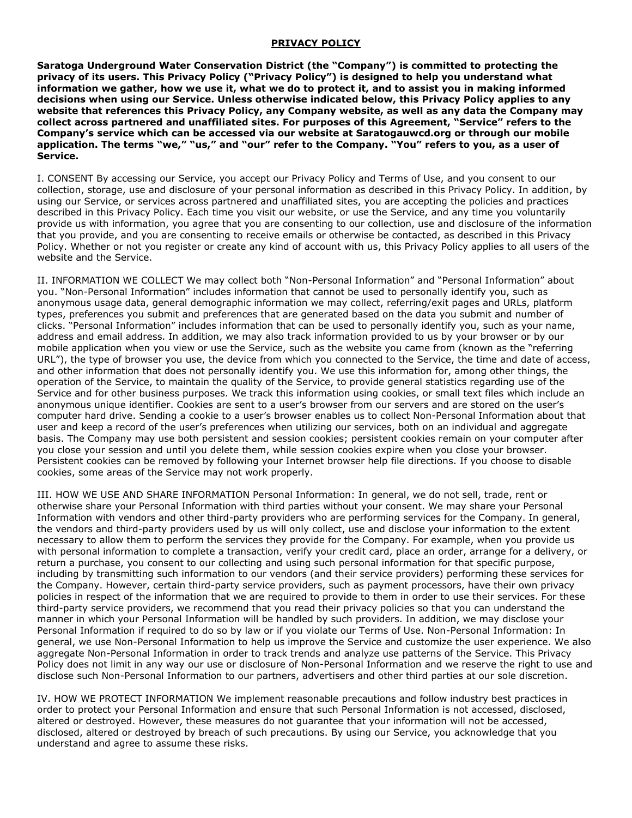## **PRIVACY POLICY**

**Saratoga Underground Water Conservation District (the "Company") is committed to protecting the privacy of its users. This Privacy Policy ("Privacy Policy") is designed to help you understand what information we gather, how we use it, what we do to protect it, and to assist you in making informed decisions when using our Service. Unless otherwise indicated below, this Privacy Policy applies to any website that references this Privacy Policy, any Company website, as well as any data the Company may collect across partnered and unaffiliated sites. For purposes of this Agreement, "Service" refers to the Company's service which can be accessed via our website at Saratogauwcd.org or through our mobile application. The terms "we," "us," and "our" refer to the Company. "You" refers to you, as a user of Service.** 

I. CONSENT By accessing our Service, you accept our Privacy Policy and Terms of Use, and you consent to our collection, storage, use and disclosure of your personal information as described in this Privacy Policy. In addition, by using our Service, or services across partnered and unaffiliated sites, you are accepting the policies and practices described in this Privacy Policy. Each time you visit our website, or use the Service, and any time you voluntarily provide us with information, you agree that you are consenting to our collection, use and disclosure of the information that you provide, and you are consenting to receive emails or otherwise be contacted, as described in this Privacy Policy. Whether or not you register or create any kind of account with us, this Privacy Policy applies to all users of the website and the Service.

II. INFORMATION WE COLLECT We may collect both "Non-Personal Information" and "Personal Information" about you. "Non-Personal Information" includes information that cannot be used to personally identify you, such as anonymous usage data, general demographic information we may collect, referring/exit pages and URLs, platform types, preferences you submit and preferences that are generated based on the data you submit and number of clicks. "Personal Information" includes information that can be used to personally identify you, such as your name, address and email address. In addition, we may also track information provided to us by your browser or by our mobile application when you view or use the Service, such as the website you came from (known as the "referring URL"), the type of browser you use, the device from which you connected to the Service, the time and date of access, and other information that does not personally identify you. We use this information for, among other things, the operation of the Service, to maintain the quality of the Service, to provide general statistics regarding use of the Service and for other business purposes. We track this information using cookies, or small text files which include an anonymous unique identifier. Cookies are sent to a user's browser from our servers and are stored on the user's computer hard drive. Sending a cookie to a user's browser enables us to collect Non-Personal Information about that user and keep a record of the user's preferences when utilizing our services, both on an individual and aggregate basis. The Company may use both persistent and session cookies; persistent cookies remain on your computer after you close your session and until you delete them, while session cookies expire when you close your browser. Persistent cookies can be removed by following your Internet browser help file directions. If you choose to disable cookies, some areas of the Service may not work properly.

III. HOW WE USE AND SHARE INFORMATION Personal Information: In general, we do not sell, trade, rent or otherwise share your Personal Information with third parties without your consent. We may share your Personal Information with vendors and other third-party providers who are performing services for the Company. In general, the vendors and third-party providers used by us will only collect, use and disclose your information to the extent necessary to allow them to perform the services they provide for the Company. For example, when you provide us with personal information to complete a transaction, verify your credit card, place an order, arrange for a delivery, or return a purchase, you consent to our collecting and using such personal information for that specific purpose, including by transmitting such information to our vendors (and their service providers) performing these services for the Company. However, certain third-party service providers, such as payment processors, have their own privacy policies in respect of the information that we are required to provide to them in order to use their services. For these third-party service providers, we recommend that you read their privacy policies so that you can understand the manner in which your Personal Information will be handled by such providers. In addition, we may disclose your Personal Information if required to do so by law or if you violate our Terms of Use. Non-Personal Information: In general, we use Non-Personal Information to help us improve the Service and customize the user experience. We also aggregate Non-Personal Information in order to track trends and analyze use patterns of the Service. This Privacy Policy does not limit in any way our use or disclosure of Non-Personal Information and we reserve the right to use and disclose such Non-Personal Information to our partners, advertisers and other third parties at our sole discretion.

IV. HOW WE PROTECT INFORMATION We implement reasonable precautions and follow industry best practices in order to protect your Personal Information and ensure that such Personal Information is not accessed, disclosed, altered or destroyed. However, these measures do not guarantee that your information will not be accessed, disclosed, altered or destroyed by breach of such precautions. By using our Service, you acknowledge that you understand and agree to assume these risks.